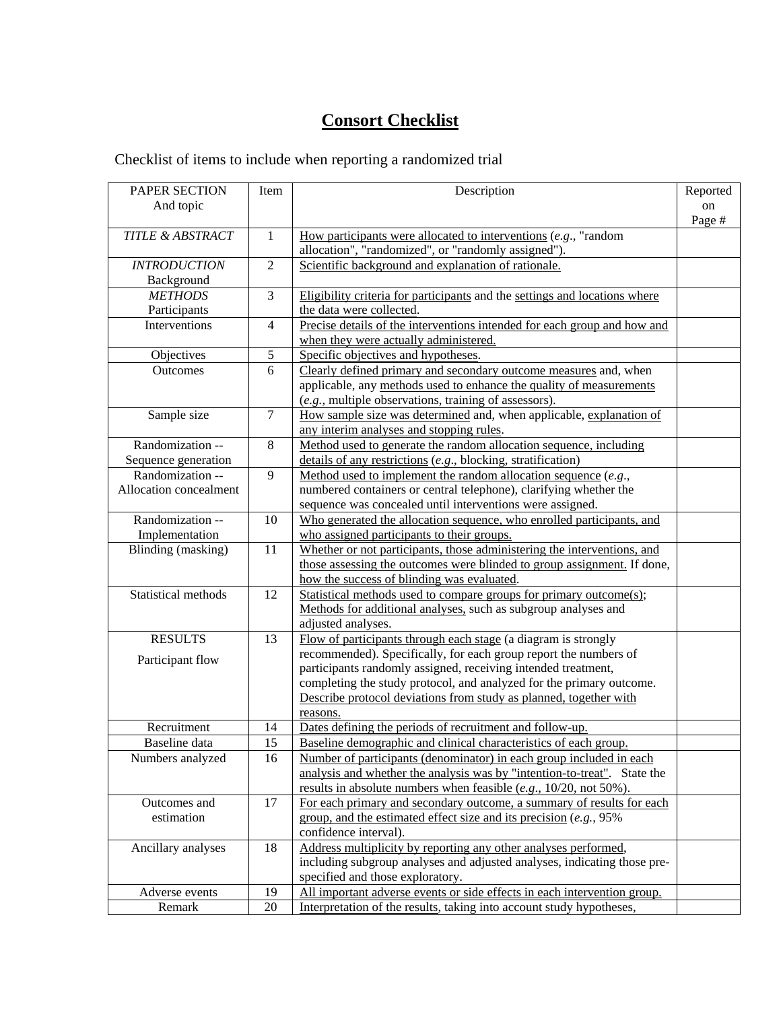## **Consort Checklist**

## Checklist of items to include when reporting a randomized trial

| PAPER SECTION<br>And topic | Item           | Description                                                                                            | Reported<br>on<br>Page # |
|----------------------------|----------------|--------------------------------------------------------------------------------------------------------|--------------------------|
| TITLE & ABSTRACT           | $\mathbf{1}$   | How participants were allocated to interventions $(e.g., "random"$                                     |                          |
|                            |                | allocation", "randomized", or "randomly assigned").                                                    |                          |
| <b>INTRODUCTION</b>        | 2              | Scientific background and explanation of rationale.                                                    |                          |
| Background                 |                |                                                                                                        |                          |
| <b>METHODS</b>             | 3              |                                                                                                        |                          |
| Participants               |                | Eligibility criteria for participants and the settings and locations where<br>the data were collected. |                          |
| Interventions              | $\overline{4}$ | Precise details of the interventions intended for each group and how and                               |                          |
|                            |                | when they were actually administered.                                                                  |                          |
|                            |                |                                                                                                        |                          |
| Objectives                 | 5              | Specific objectives and hypotheses.                                                                    |                          |
| Outcomes                   | 6              | Clearly defined primary and secondary outcome measures and, when                                       |                          |
|                            |                | applicable, any methods used to enhance the quality of measurements                                    |                          |
|                            | $\overline{7}$ | (e.g., multiple observations, training of assessors).                                                  |                          |
| Sample size                |                | How sample size was determined and, when applicable, explanation of                                    |                          |
|                            |                | any interim analyses and stopping rules.                                                               |                          |
| Randomization --           | 8              | Method used to generate the random allocation sequence, including                                      |                          |
| Sequence generation        |                | details of any restrictions (e.g., blocking, stratification)                                           |                          |
| Randomization --           | 9              | Method used to implement the random allocation sequence $(e.g.,$                                       |                          |
| Allocation concealment     |                | numbered containers or central telephone), clarifying whether the                                      |                          |
|                            |                | sequence was concealed until interventions were assigned.                                              |                          |
| Randomization --           | 10             | Who generated the allocation sequence, who enrolled participants, and                                  |                          |
| Implementation             |                | who assigned participants to their groups.                                                             |                          |
| Blinding (masking)         | 11             | Whether or not participants, those administering the interventions, and                                |                          |
|                            |                | those assessing the outcomes were blinded to group assignment. If done,                                |                          |
|                            |                | how the success of blinding was evaluated.                                                             |                          |
| Statistical methods        | 12             | Statistical methods used to compare groups for primary outcome(s);                                     |                          |
|                            |                | Methods for additional analyses, such as subgroup analyses and                                         |                          |
|                            |                | adjusted analyses.                                                                                     |                          |
| <b>RESULTS</b>             | 13             | Flow of participants through each stage (a diagram is strongly                                         |                          |
| Participant flow           |                | recommended). Specifically, for each group report the numbers of                                       |                          |
|                            |                | participants randomly assigned, receiving intended treatment,                                          |                          |
|                            |                | completing the study protocol, and analyzed for the primary outcome.                                   |                          |
|                            |                | Describe protocol deviations from study as planned, together with                                      |                          |
|                            |                | reasons.                                                                                               |                          |
| Recruitment                | 14             | Dates defining the periods of recruitment and follow-up.                                               |                          |
| Baseline data              | 15             | Baseline demographic and clinical characteristics of each group.                                       |                          |
| Numbers analyzed           | 16             | Number of participants (denominator) in each group included in each                                    |                          |
|                            |                | analysis and whether the analysis was by "intention-to-treat". State the                               |                          |
|                            |                | results in absolute numbers when feasible $(e.g., 10/20, not 50\%)$ .                                  |                          |
| Outcomes and               | 17             | For each primary and secondary outcome, a summary of results for each                                  |                          |
| estimation                 |                | group, and the estimated effect size and its precision (e.g., 95%)                                     |                          |
|                            |                | confidence interval).                                                                                  |                          |
| Ancillary analyses         | 18             | Address multiplicity by reporting any other analyses performed,                                        |                          |
|                            |                | including subgroup analyses and adjusted analyses, indicating those pre-                               |                          |
|                            |                | specified and those exploratory.                                                                       |                          |
| Adverse events             | 19             | All important adverse events or side effects in each intervention group.                               |                          |
| Remark                     | 20             | Interpretation of the results, taking into account study hypotheses,                                   |                          |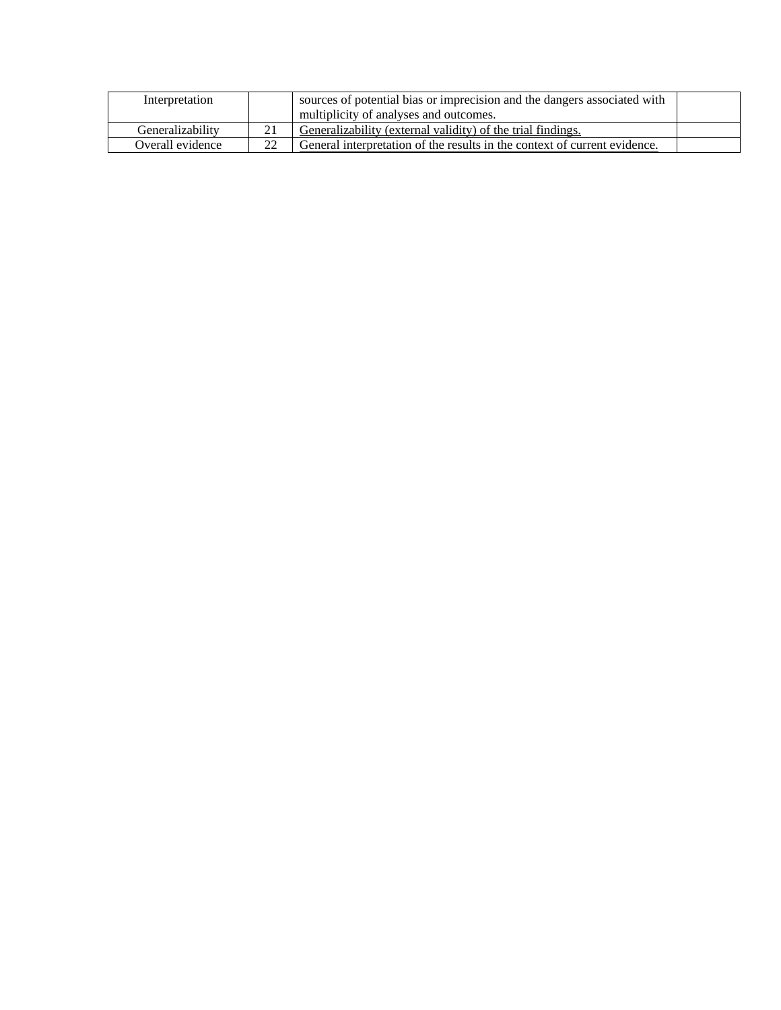| Interpretation   |    | sources of potential bias or imprecision and the dangers associated with  |  |
|------------------|----|---------------------------------------------------------------------------|--|
|                  |    | multiplicity of analyses and outcomes.                                    |  |
| Generalizability |    | Generalizability (external validity) of the trial findings.               |  |
| Overall evidence | າາ | General interpretation of the results in the context of current evidence. |  |